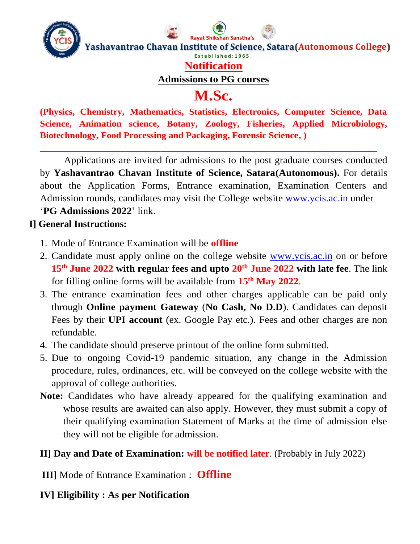

## **Notification**

**Admissions to PG courses**

# **M.Sc.**

**(Physics, Chemistry, Mathematics, Statistics, Electronics, Computer Science, Data Science, Animation science, Botany, Zoology, Fisheries, Applied Microbiology, Biotechnology, Food Processing and Packaging, Forensic Science, )**

**\_\_\_\_\_\_\_\_\_\_\_\_\_\_\_\_\_\_\_\_\_\_\_\_\_\_\_\_\_\_\_\_\_\_\_\_\_\_\_\_\_\_\_\_\_\_\_\_\_\_\_\_\_\_\_\_\_\_\_\_\_\_\_\_\_\_\_**

Applications are invited for admissions to the post graduate courses conducted by **Yashavantrao Chavan Institute of Science, Satara(Autonomous).** For details about the Application Forms, Entrance examination, Examination Centers and Admission rounds, candidates may visit the College website [www.ycis.ac.in](http://www.ycis.ac.in/) under '**PG Admissions 2022**' link.

#### **I] General Instructions:**

- 1. Mode of Entrance Examination will be **offline**
- 2. Candidate must apply online on the college website [www.ycis.ac.in](http://www.ycis.ac.in/) on or before **15th June 2022 with regular fees and upto 20th June 2022 with late fee**. The link for filling online forms will be available from **15 th May 2022**.
- 3. The entrance examination fees and other charges applicable can be paid only through **Online payment Gateway** (**No Cash, No D.D**). Candidates can deposit Fees by their **UPI account** (ex. Google Pay etc.). Fees and other charges are non refundable.
- 4. The candidate should preserve printout of the online form submitted.
- 5. Due to ongoing Covid-19 pandemic situation, any change in the Admission procedure, rules, ordinances, etc. will be conveyed on the college website with the approval of college authorities.
- **Note:** Candidates who have already appeared for the qualifying examination and whose results are awaited can also apply. However, they must submit a copy of their qualifying examination Statement of Marks at the time of admission else they will not be eligible for admission.

## **II] Day and Date of Examination: will be notified later**. (Probably in July 2022)

**III]** Mode of Entrance Examination : **Offline**

## **IV] Eligibility : As per Notification**